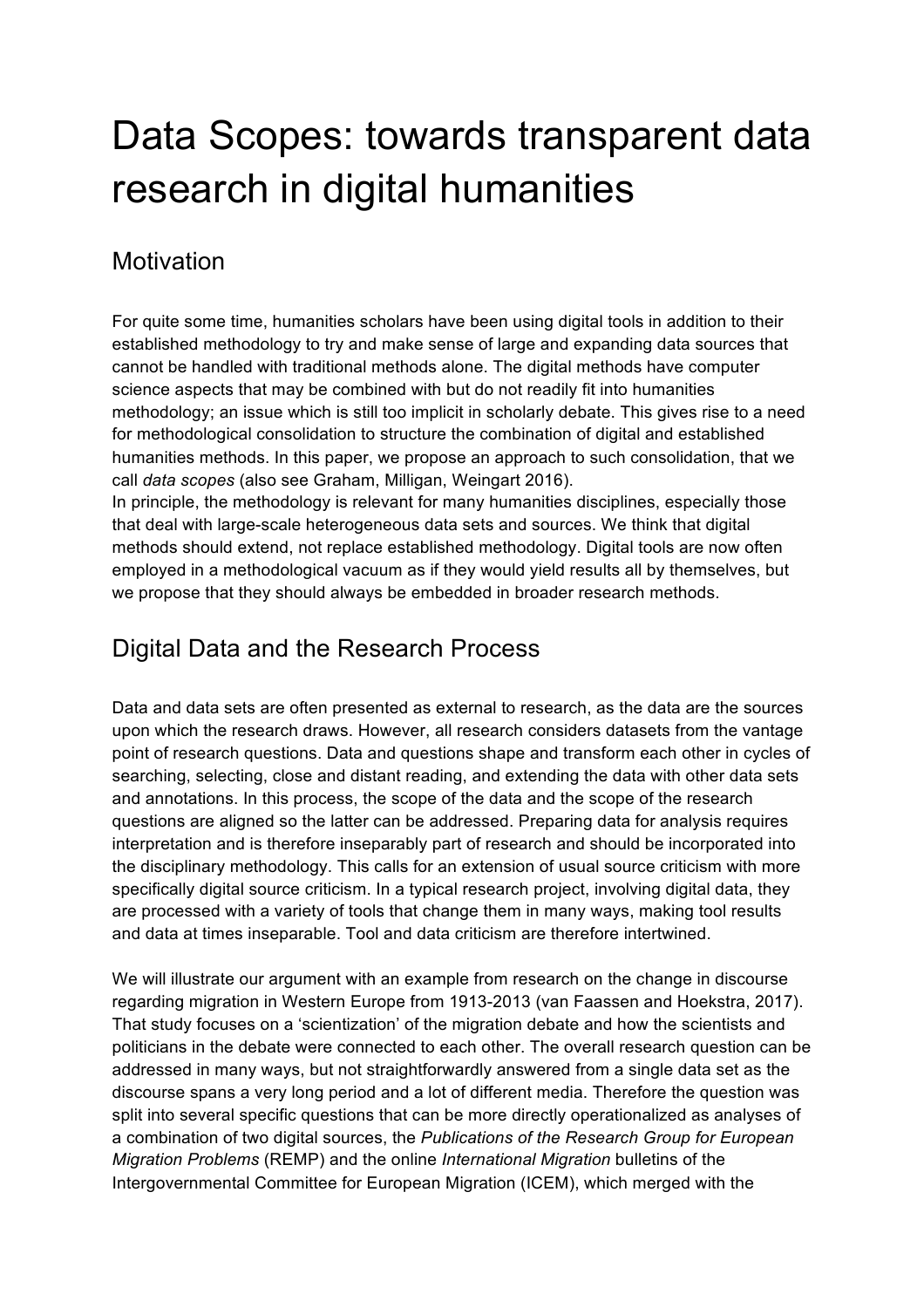# Data Scopes: towards transparent data research in digital humanities

#### **Motivation**

For quite some time, humanities scholars have been using digital tools in addition to their established methodology to try and make sense of large and expanding data sources that cannot be handled with traditional methods alone. The digital methods have computer science aspects that may be combined with but do not readily fit into humanities methodology; an issue which is still too implicit in scholarly debate. This gives rise to a need for methodological consolidation to structure the combination of digital and established humanities methods. In this paper, we propose an approach to such consolidation, that we call *data scopes* (also see Graham, Milligan, Weingart 2016).

In principle, the methodology is relevant for many humanities disciplines, especially those that deal with large-scale heterogeneous data sets and sources. We think that digital methods should extend, not replace established methodology. Digital tools are now often employed in a methodological vacuum as if they would yield results all by themselves, but we propose that they should always be embedded in broader research methods.

## Digital Data and the Research Process

Data and data sets are often presented as external to research, as the data are the sources upon which the research draws. However, all research considers datasets from the vantage point of research questions. Data and questions shape and transform each other in cycles of searching, selecting, close and distant reading, and extending the data with other data sets and annotations. In this process, the scope of the data and the scope of the research questions are aligned so the latter can be addressed. Preparing data for analysis requires interpretation and is therefore inseparably part of research and should be incorporated into the disciplinary methodology. This calls for an extension of usual source criticism with more specifically digital source criticism. In a typical research project, involving digital data, they are processed with a variety of tools that change them in many ways, making tool results and data at times inseparable. Tool and data criticism are therefore intertwined.

We will illustrate our argument with an example from research on the change in discourse regarding migration in Western Europe from 1913-2013 (van Faassen and Hoekstra, 2017). That study focuses on a 'scientization' of the migration debate and how the scientists and politicians in the debate were connected to each other. The overall research question can be addressed in many ways, but not straightforwardly answered from a single data set as the discourse spans a very long period and a lot of different media. Therefore the question was split into several specific questions that can be more directly operationalized as analyses of a combination of two digital sources, the *Publications of the Research Group for European Migration Problems* (REMP) and the online *International Migration* bulletins of the Intergovernmental Committee for European Migration (ICEM), which merged with the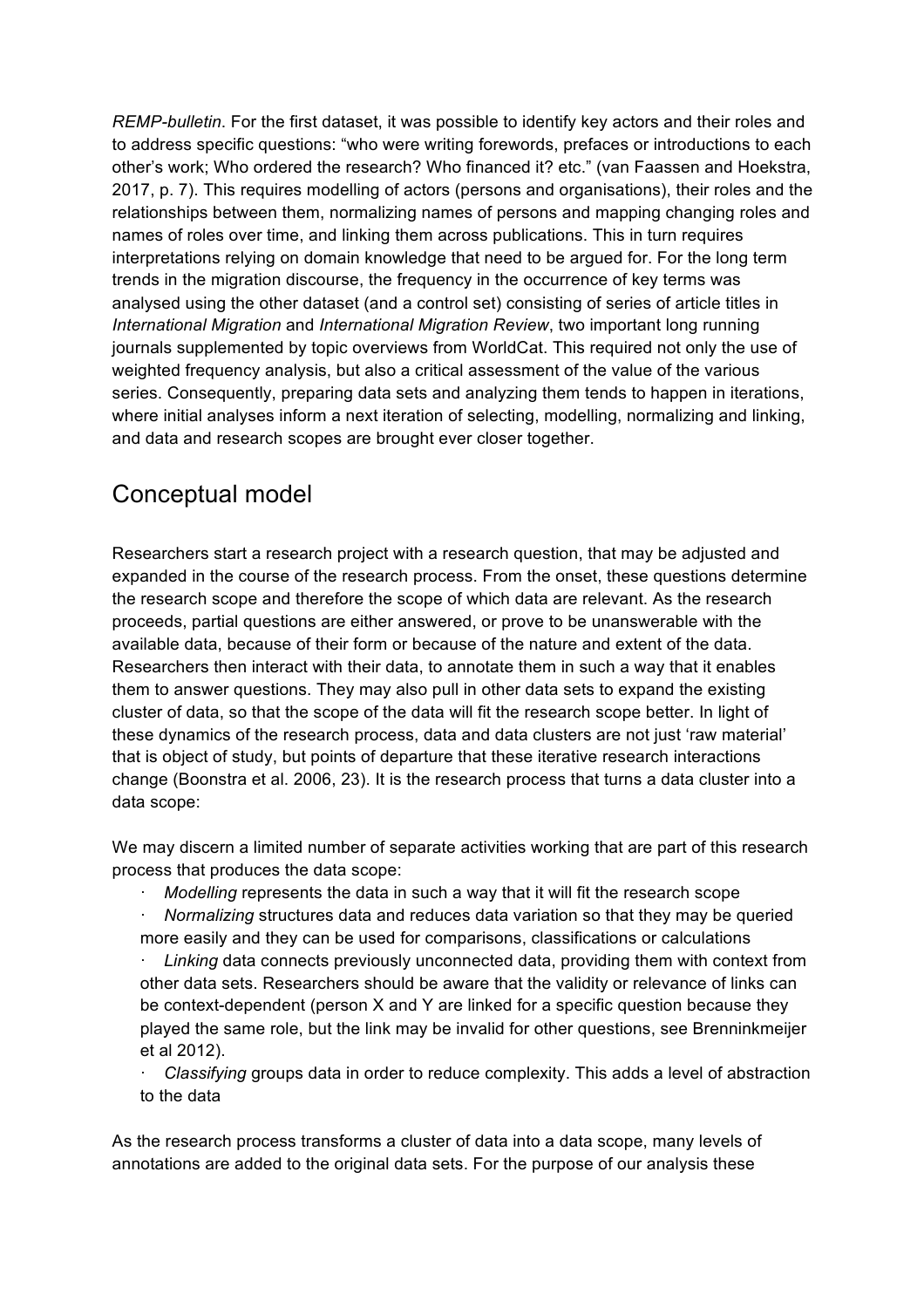*REMP-bulletin*. For the first dataset, it was possible to identify key actors and their roles and to address specific questions: "who were writing forewords, prefaces or introductions to each other's work; Who ordered the research? Who financed it? etc." (van Faassen and Hoekstra, 2017, p. 7). This requires modelling of actors (persons and organisations), their roles and the relationships between them, normalizing names of persons and mapping changing roles and names of roles over time, and linking them across publications. This in turn requires interpretations relying on domain knowledge that need to be argued for. For the long term trends in the migration discourse, the frequency in the occurrence of key terms was analysed using the other dataset (and a control set) consisting of series of article titles in *International Migration* and *International Migration Review*, two important long running journals supplemented by topic overviews from WorldCat. This required not only the use of weighted frequency analysis, but also a critical assessment of the value of the various series. Consequently, preparing data sets and analyzing them tends to happen in iterations, where initial analyses inform a next iteration of selecting, modelling, normalizing and linking, and data and research scopes are brought ever closer together.

### Conceptual model

Researchers start a research project with a research question, that may be adjusted and expanded in the course of the research process. From the onset, these questions determine the research scope and therefore the scope of which data are relevant. As the research proceeds, partial questions are either answered, or prove to be unanswerable with the available data, because of their form or because of the nature and extent of the data. Researchers then interact with their data, to annotate them in such a way that it enables them to answer questions. They may also pull in other data sets to expand the existing cluster of data, so that the scope of the data will fit the research scope better. In light of these dynamics of the research process, data and data clusters are not just 'raw material' that is object of study, but points of departure that these iterative research interactions change (Boonstra et al. 2006, 23). It is the research process that turns a data cluster into a data scope:

We may discern a limited number of separate activities working that are part of this research process that produces the data scope:

- · *Modelling* represents the data in such a way that it will fit the research scope
- · *Normalizing* structures data and reduces data variation so that they may be queried more easily and they can be used for comparisons, classifications or calculations

Linking data connects previously unconnected data, providing them with context from other data sets. Researchers should be aware that the validity or relevance of links can be context-dependent (person X and Y are linked for a specific question because they played the same role, but the link may be invalid for other questions, see Brenninkmeijer et al 2012).

· *Classifying* groups data in order to reduce complexity. This adds a level of abstraction to the data

As the research process transforms a cluster of data into a data scope, many levels of annotations are added to the original data sets. For the purpose of our analysis these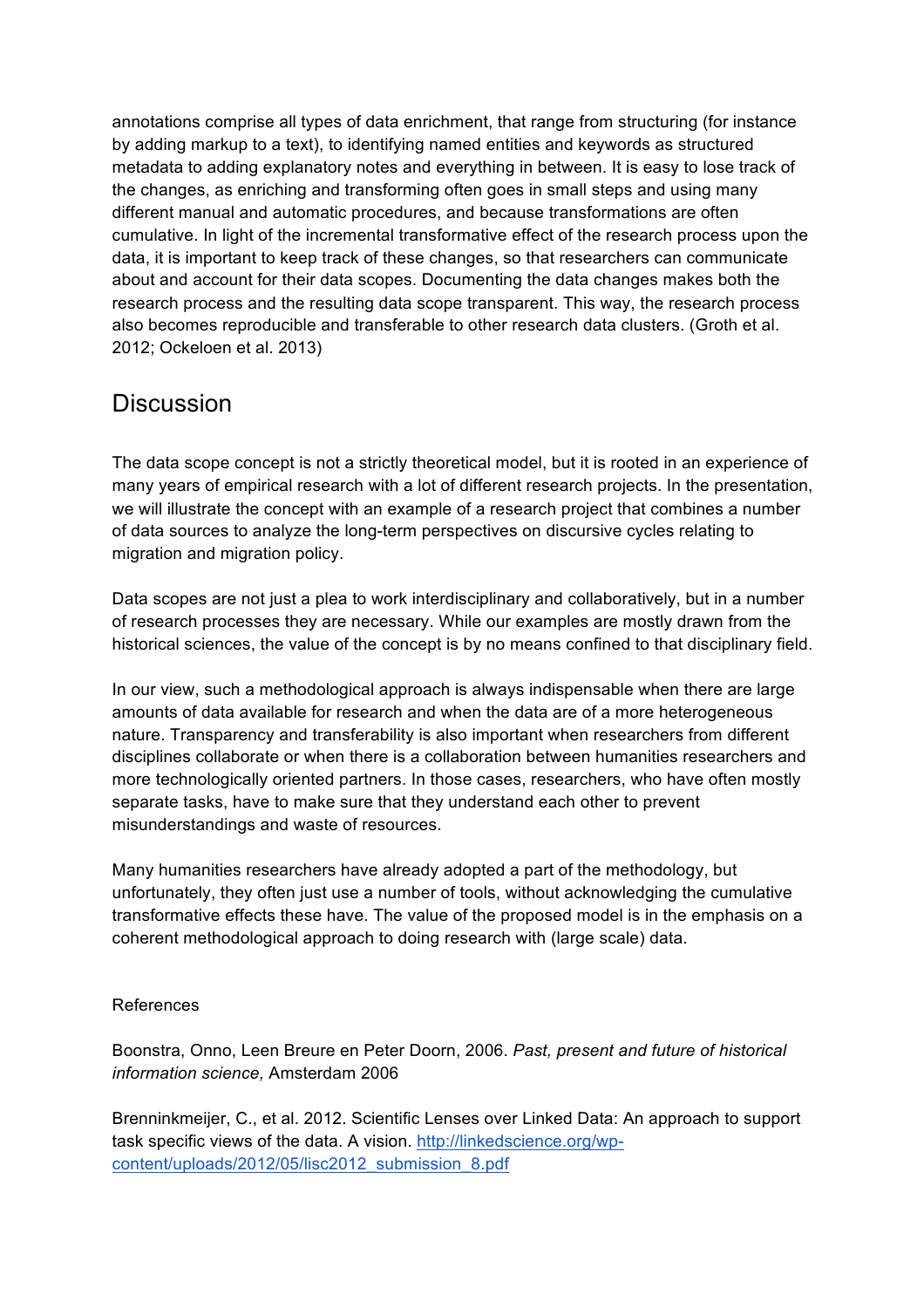annotations comprise all types of data enrichment, that range from structuring (for instance by adding markup to a text), to identifying named entities and keywords as structured metadata to adding explanatory notes and everything in between. It is easy to lose track of the changes, as enriching and transforming often goes in small steps and using many different manual and automatic procedures, and because transformations are often cumulative. In light of the incremental transformative effect of the research process upon the data, it is important to keep track of these changes, so that researchers can communicate about and account for their data scopes. Documenting the data changes makes both the research process and the resulting data scope transparent. This way, the research process also becomes reproducible and transferable to other research data clusters. (Groth et al. 2012; Ockeloen et al. 2013)

#### **Discussion**

The data scope concept is not a strictly theoretical model, but it is rooted in an experience of many years of empirical research with a lot of different research projects. In the presentation, we will illustrate the concept with an example of a research project that combines a number of data sources to analyze the long-term perspectives on discursive cycles relating to migration and migration policy.

Data scopes are not just a plea to work interdisciplinary and collaboratively, but in a number of research processes they are necessary. While our examples are mostly drawn from the historical sciences, the value of the concept is by no means confined to that disciplinary field.

In our view, such a methodological approach is always indispensable when there are large amounts of data available for research and when the data are of a more heterogeneous nature. Transparency and transferability is also important when researchers from different disciplines collaborate or when there is a collaboration between humanities researchers and more technologically oriented partners. In those cases, researchers, who have often mostly separate tasks, have to make sure that they understand each other to prevent misunderstandings and waste of resources.

Many humanities researchers have already adopted a part of the methodology, but unfortunately, they often just use a number of tools, without acknowledging the cumulative transformative effects these have. The value of the proposed model is in the emphasis on a coherent methodological approach to doing research with (large scale) data.

#### References

Boonstra, Onno, Leen Breure en Peter Doorn, 2006. *Past, present and future of historical information science,* Amsterdam 2006

Brenninkmeijer, C., et al. 2012. Scientific Lenses over Linked Data: An approach to support task specific views of the data. A vision. http://linkedscience.org/wpcontent/uploads/2012/05/lisc2012\_submission\_8.pdf